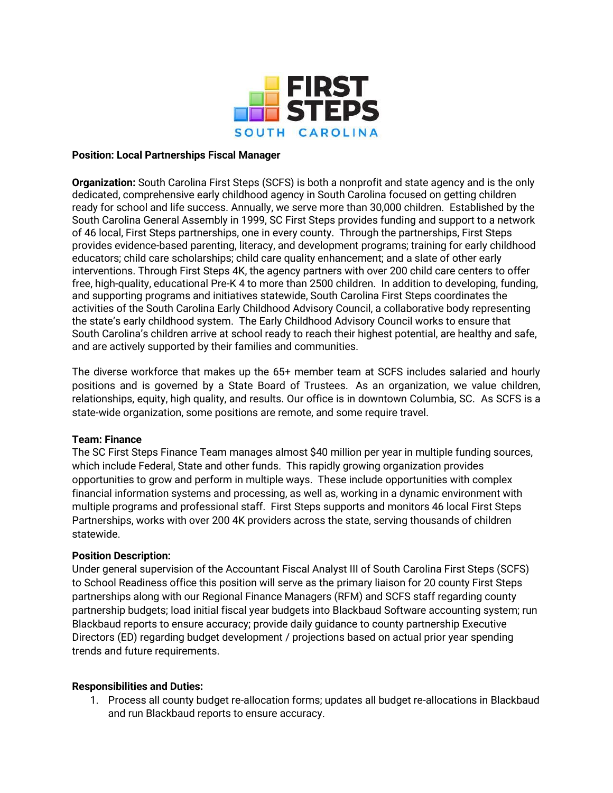

### **Position: Local Partnerships Fiscal Manager**

**Organization:** South Carolina First Steps (SCFS) is both a nonprofit and state agency and is the only dedicated, comprehensive early childhood agency in South Carolina focused on getting children ready for school and life success. Annually, we serve more than 30,000 children. Established by the South Carolina General Assembly in 1999, SC First Steps provides funding and support to a network of 46 local, First Steps partnerships, one in every county. Through the partnerships, First Steps provides evidence-based parenting, literacy, and development programs; training for early childhood educators; child care scholarships; child care quality enhancement; and a slate of other early interventions. Through First Steps 4K, the agency partners with over 200 child care centers to offer free, high-quality, educational Pre-K 4 to more than 2500 children. In addition to developing, funding, and supporting programs and initiatives statewide, South Carolina First Steps coordinates the activities of the South Carolina Early Childhood Advisory Council, a collaborative body representing the state's early childhood system. The Early Childhood Advisory Council works to ensure that South Carolina's children arrive at school ready to reach their highest potential, are healthy and safe, and are actively supported by their families and communities.

The diverse workforce that makes up the 65+ member team at SCFS includes salaried and hourly positions and is governed by a State Board of Trustees. As an organization, we value children, relationships, equity, high quality, and results. Our office is in downtown Columbia, SC. As SCFS is a state-wide organization, some positions are remote, and some require travel.

### **Team: Finance**

The SC First Steps Finance Team manages almost \$40 million per year in multiple funding sources, which include Federal, State and other funds. This rapidly growing organization provides opportunities to grow and perform in multiple ways. These include opportunities with complex financial information systems and processing, as well as, working in a dynamic environment with multiple programs and professional staff. First Steps supports and monitors 46 local First Steps Partnerships, works with over 200 4K providers across the state, serving thousands of children statewide.

### **Position Description:**

Under general supervision of the Accountant Fiscal Analyst III of South Carolina First Steps (SCFS) to School Readiness office this position will serve as the primary liaison for 20 county First Steps partnerships along with our Regional Finance Managers (RFM) and SCFS staff regarding county partnership budgets; load initial fiscal year budgets into Blackbaud Software accounting system; run Blackbaud reports to ensure accuracy; provide daily guidance to county partnership Executive Directors (ED) regarding budget development / projections based on actual prior year spending trends and future requirements.

### **Responsibilities and Duties:**

1. Process all county budget re-allocation forms; updates all budget re-allocations in Blackbaud and run Blackbaud reports to ensure accuracy.